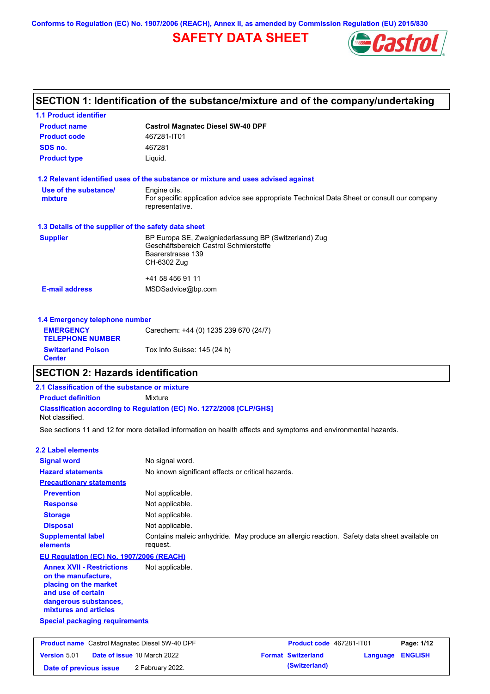**Conforms to Regulation (EC) No. 1907/2006 (REACH), Annex II, as amended by Commission Regulation (EU) 2015/830**

# **SAFETY DATA SHEET**



|                                                      | SECTION 1: Identification of the substance/mixture and of the company/undertaking                              |
|------------------------------------------------------|----------------------------------------------------------------------------------------------------------------|
| <b>1.1 Product identifier</b>                        |                                                                                                                |
| <b>Product name</b>                                  | <b>Castrol Magnatec Diesel 5W-40 DPF</b>                                                                       |
| <b>Product code</b>                                  | 467281-IT01                                                                                                    |
| SDS no.                                              | 467281                                                                                                         |
| <b>Product type</b>                                  | Liquid.                                                                                                        |
|                                                      | 1.2 Relevant identified uses of the substance or mixture and uses advised against                              |
| Use of the substance/                                | Engine oils.                                                                                                   |
| mixture                                              | For specific application advice see appropriate Technical Data Sheet or consult our company<br>representative. |
| 1.3 Details of the supplier of the safety data sheet |                                                                                                                |
| <b>Supplier</b>                                      | BP Europa SE, Zweigniederlassung BP (Switzerland) Zug                                                          |
|                                                      | Geschäftsbereich Castrol Schmierstoffe<br>Baarerstrasse 139                                                    |
|                                                      | CH-6302 Zug                                                                                                    |
|                                                      | +41 58 456 91 11                                                                                               |
| <b>E-mail address</b>                                | MSDSadvice@bp.com                                                                                              |
| 1.4 Emergency telephone number                       |                                                                                                                |
| <b>EMERGENCY</b><br><b>TELEPHONE NUMBER</b>          | Carechem: +44 (0) 1235 239 670 (24/7)                                                                          |
| <b>Switzerland Poison</b>                            | Tox Info Suisse: 145 (24 h)                                                                                    |

### **SECTION 2: Hazards identification**

### **Classification according to Regulation (EC) No. 1272/2008 [CLP/GHS] 2.1 Classification of the substance or mixture Product definition** Mixture Not classified.

See sections 11 and 12 for more detailed information on health effects and symptoms and environmental hazards.

|  |  |  | <b>2.2 Label elements</b> |  |
|--|--|--|---------------------------|--|
|--|--|--|---------------------------|--|

**Center**

| <b>Signal word</b>                                                                                                                                       | No signal word.                                                                                         |
|----------------------------------------------------------------------------------------------------------------------------------------------------------|---------------------------------------------------------------------------------------------------------|
| <b>Hazard statements</b>                                                                                                                                 | No known significant effects or critical hazards.                                                       |
| <b>Precautionary statements</b>                                                                                                                          |                                                                                                         |
| <b>Prevention</b>                                                                                                                                        | Not applicable.                                                                                         |
| <b>Response</b>                                                                                                                                          | Not applicable.                                                                                         |
| <b>Storage</b>                                                                                                                                           | Not applicable.                                                                                         |
| <b>Disposal</b>                                                                                                                                          | Not applicable.                                                                                         |
| <b>Supplemental label</b><br>elements                                                                                                                    | Contains maleic anhydride. May produce an allergic reaction. Safety data sheet available on<br>request. |
| <b>EU Regulation (EC) No. 1907/2006 (REACH)</b>                                                                                                          |                                                                                                         |
| <b>Annex XVII - Restrictions</b><br>on the manufacture.<br>placing on the market<br>and use of certain<br>dangerous substances,<br>mixtures and articles | Not applicable.                                                                                         |
| <b>Special packaging requirements</b>                                                                                                                    |                                                                                                         |
| <b>Brodust name, Control Mognatos Dispol EVIL10 DDE</b>                                                                                                  | <b>Dogo: 4/42</b><br>Deaduat and AG7004 IT04                                                            |

| <b>Product name</b> Castrol Magnatec Diesel 5W-40 DPF |  | Product code 467281-IT01           |  | Page: 1/12                |                         |  |
|-------------------------------------------------------|--|------------------------------------|--|---------------------------|-------------------------|--|
| <b>Version 5.01</b>                                   |  | <b>Date of issue 10 March 2022</b> |  | <b>Format Switzerland</b> | <b>Language ENGLISH</b> |  |
| Date of previous issue                                |  | 2 February 2022.                   |  | (Switzerland)             |                         |  |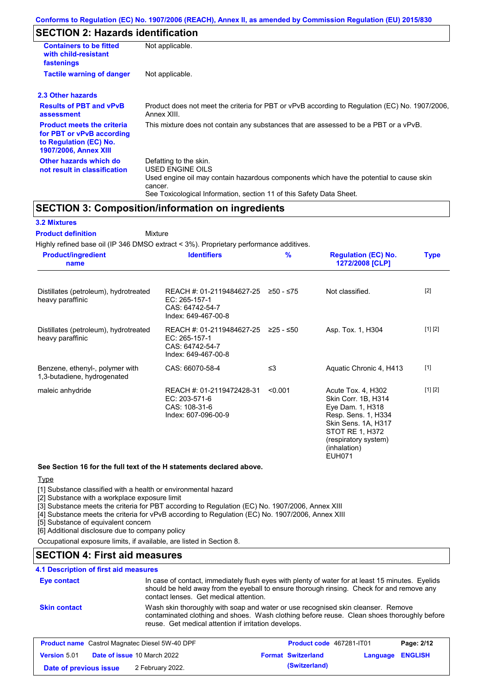# **SECTION 2: Hazards identification**

| <b>Containers to be fitted</b><br>with child-resistant<br>fastenings                                                     | Not applicable.                                                                                                                                                                                                          |
|--------------------------------------------------------------------------------------------------------------------------|--------------------------------------------------------------------------------------------------------------------------------------------------------------------------------------------------------------------------|
| <b>Tactile warning of danger</b>                                                                                         | Not applicable.                                                                                                                                                                                                          |
| 2.3 Other hazards                                                                                                        |                                                                                                                                                                                                                          |
| <b>Results of PBT and vPvB</b><br>assessment                                                                             | Product does not meet the criteria for PBT or vPvB according to Regulation (EC) No. 1907/2006,<br>Annex XIII.                                                                                                            |
| <b>Product meets the criteria</b><br>for PBT or vPvB according<br>to Regulation (EC) No.<br><b>1907/2006, Annex XIII</b> | This mixture does not contain any substances that are assessed to be a PBT or a vPvB.                                                                                                                                    |
| Other hazards which do<br>not result in classification                                                                   | Defatting to the skin.<br>USED ENGINE OILS<br>Used engine oil may contain hazardous components which have the potential to cause skin<br>cancer.<br>See Toxicological Information, section 11 of this Safety Data Sheet. |

### **SECTION 3: Composition/information on ingredients**

#### **3.2 Mixtures**

Mixture **Product definition**

Highly refined base oil (IP 346 DMSO extract < 3%). Proprietary performance additives.

| <b>Product/ingredient</b><br>name                              | <b>Identifiers</b>                                                                                         | $\frac{9}{6}$ | <b>Regulation (EC) No.</b><br>1272/2008 [CLP]                                                                                                                                           | <b>Type</b> |
|----------------------------------------------------------------|------------------------------------------------------------------------------------------------------------|---------------|-----------------------------------------------------------------------------------------------------------------------------------------------------------------------------------------|-------------|
| Distillates (petroleum), hydrotreated<br>heavy paraffinic      | REACH #: 01-2119484627-25 $\geq$ 50 - $\leq$ 75<br>EC: 265-157-1<br>CAS: 64742-54-7<br>Index: 649-467-00-8 |               | Not classified.                                                                                                                                                                         | $[2]$       |
| Distillates (petroleum), hydrotreated<br>heavy paraffinic      | REACH #: 01-2119484627-25<br>EC: 265-157-1<br>CAS: 64742-54-7<br>Index: 649-467-00-8                       | 225 - ≤50     | Asp. Tox. 1, H304                                                                                                                                                                       | [1] [2]     |
| Benzene, ethenyl-, polymer with<br>1,3-butadiene, hydrogenated | CAS: 66070-58-4                                                                                            | $\leq$ 3      | Aquatic Chronic 4, H413                                                                                                                                                                 | $[1]$       |
| maleic anhydride                                               | REACH #: 01-2119472428-31<br>EC: 203-571-6<br>CAS: 108-31-6<br>Index: 607-096-00-9                         | < 0.001       | Acute Tox. 4, H302<br>Skin Corr. 1B, H314<br>Eye Dam. 1, H318<br>Resp. Sens. 1, H334<br>Skin Sens. 1A, H317<br>STOT RE 1, H372<br>(respiratory system)<br>(inhalation)<br><b>EUH071</b> | [1] [2]     |

#### **See Section 16 for the full text of the H statements declared above.**

#### **Type**

[1] Substance classified with a health or environmental hazard

[2] Substance with a workplace exposure limit

[3] Substance meets the criteria for PBT according to Regulation (EC) No. 1907/2006, Annex XIII

[4] Substance meets the criteria for vPvB according to Regulation (EC) No. 1907/2006, Annex XIII

[5] Substance of equivalent concern

[6] Additional disclosure due to company policy

Occupational exposure limits, if available, are listed in Section 8.

## **SECTION 4: First aid measures**

### **4.1 Description of first aid measures**

| <b>Eye contact</b>                                    | In case of contact, immediately flush eyes with plenty of water for at least 15 minutes. Eyelids<br>should be held away from the eyeball to ensure thorough rinsing. Check for and remove any<br>contact lenses. Get medical attention. |                                 |            |
|-------------------------------------------------------|-----------------------------------------------------------------------------------------------------------------------------------------------------------------------------------------------------------------------------------------|---------------------------------|------------|
| <b>Skin contact</b>                                   | Wash skin thoroughly with soap and water or use recognised skin cleanser. Remove<br>contaminated clothing and shoes. Wash clothing before reuse. Clean shoes thoroughly before<br>reuse. Get medical attention if irritation develops.  |                                 |            |
| <b>Product name</b> Castrol Magnatec Diesel 5W-40 DPF |                                                                                                                                                                                                                                         | <b>Product code</b> 467281-IT01 | Page: 2/12 |

| <b>Product name</b> Castrol Magnatec Diesel 5W-40 DPF |  | <b>Product code</b> 467281-IT01    |  | Page: 2/12                |                  |  |
|-------------------------------------------------------|--|------------------------------------|--|---------------------------|------------------|--|
| <b>Version 5.01</b>                                   |  | <b>Date of issue 10 March 2022</b> |  | <b>Format Switzerland</b> | Language ENGLISH |  |
| Date of previous issue                                |  | 2 February 2022.                   |  | (Switzerland)             |                  |  |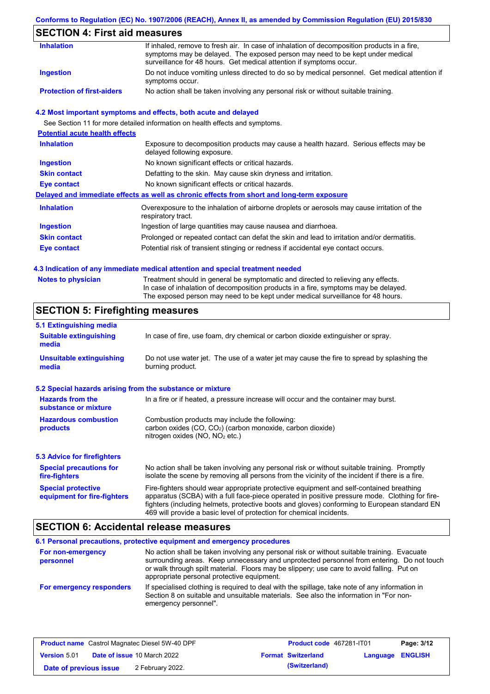### **Conforms to Regulation (EC) No. 1907/2006 (REACH), Annex II, as amended by Commission Regulation (EU) 2015/830**

# **SECTION 4: First aid measures**

| <b>Inhalation</b>                 | If inhaled, remove to fresh air. In case of inhalation of decomposition products in a fire,<br>symptoms may be delayed. The exposed person may need to be kept under medical<br>surveillance for 48 hours. Get medical attention if symptoms occur. |
|-----------------------------------|-----------------------------------------------------------------------------------------------------------------------------------------------------------------------------------------------------------------------------------------------------|
| Ingestion                         | Do not induce vomiting unless directed to do so by medical personnel. Get medical attention if<br>symptoms occur.                                                                                                                                   |
| <b>Protection of first-aiders</b> | No action shall be taken involving any personal risk or without suitable training.                                                                                                                                                                  |

#### **4.2 Most important symptoms and effects, both acute and delayed**

See Section 11 for more detailed information on health effects and symptoms.

| <b>Potential acute health effects</b> |                                                                                                                     |
|---------------------------------------|---------------------------------------------------------------------------------------------------------------------|
| <b>Inhalation</b>                     | Exposure to decomposition products may cause a health hazard. Serious effects may be<br>delayed following exposure. |
| <b>Ingestion</b>                      | No known significant effects or critical hazards.                                                                   |
| <b>Skin contact</b>                   | Defatting to the skin. May cause skin dryness and irritation.                                                       |
| Eye contact                           | No known significant effects or critical hazards.                                                                   |
|                                       | Delayed and immediate effects as well as chronic effects from short and long-term exposure                          |
| <b>Inhalation</b>                     | Overexposure to the inhalation of airborne droplets or aerosols may cause irritation of the<br>respiratory tract.   |
| <b>Ingestion</b>                      | Ingestion of large quantities may cause nausea and diarrhoea.                                                       |
| <b>Skin contact</b>                   | Prolonged or repeated contact can defat the skin and lead to irritation and/or dermatitis.                          |
| Eye contact                           | Potential risk of transient stinging or redness if accidental eye contact occurs.                                   |
|                                       |                                                                                                                     |

#### **4.3 Indication of any immediate medical attention and special treatment needed**

| <b>Notes to physician</b> | Treatment should in general be symptomatic and directed to relieving any effects.   |
|---------------------------|-------------------------------------------------------------------------------------|
|                           | In case of inhalation of decomposition products in a fire, symptoms may be delayed. |
|                           | The exposed person may need to be kept under medical surveillance for 48 hours.     |

# **SECTION 5: Firefighting measures**

| 5.1 Extinguishing media                                                                                                                                                                          |                                                                                                                                                                                                                                                                                                                                                                   |  |  |
|--------------------------------------------------------------------------------------------------------------------------------------------------------------------------------------------------|-------------------------------------------------------------------------------------------------------------------------------------------------------------------------------------------------------------------------------------------------------------------------------------------------------------------------------------------------------------------|--|--|
| <b>Suitable extinguishing</b><br>media                                                                                                                                                           | In case of fire, use foam, dry chemical or carbon dioxide extinguisher or spray.                                                                                                                                                                                                                                                                                  |  |  |
| <b>Unsuitable extinguishing</b><br>media                                                                                                                                                         | Do not use water jet. The use of a water jet may cause the fire to spread by splashing the<br>burning product.                                                                                                                                                                                                                                                    |  |  |
| 5.2 Special hazards arising from the substance or mixture                                                                                                                                        |                                                                                                                                                                                                                                                                                                                                                                   |  |  |
| <b>Hazards from the</b><br>substance or mixture                                                                                                                                                  | In a fire or if heated, a pressure increase will occur and the container may burst.                                                                                                                                                                                                                                                                               |  |  |
| <b>Hazardous combustion</b><br>Combustion products may include the following:<br>carbon oxides $(CO, CO2)$ (carbon monoxide, carbon dioxide)<br>products<br>nitrogen oxides ( $NO$ , $NO2$ etc.) |                                                                                                                                                                                                                                                                                                                                                                   |  |  |
| <b>5.3 Advice for firefighters</b>                                                                                                                                                               |                                                                                                                                                                                                                                                                                                                                                                   |  |  |
| <b>Special precautions for</b><br>fire-fighters                                                                                                                                                  | No action shall be taken involving any personal risk or without suitable training. Promptly<br>isolate the scene by removing all persons from the vicinity of the incident if there is a fire.                                                                                                                                                                    |  |  |
| <b>Special protective</b><br>equipment for fire-fighters                                                                                                                                         | Fire-fighters should wear appropriate protective equipment and self-contained breathing<br>apparatus (SCBA) with a full face-piece operated in positive pressure mode. Clothing for fire-<br>fighters (including helmets, protective boots and gloves) conforming to European standard EN<br>469 will provide a basic level of protection for chemical incidents. |  |  |

## **SECTION 6: Accidental release measures**

|                                | 6.1 Personal precautions, protective equipment and emergency procedures                                                                                                                                                                                                                                                             |
|--------------------------------|-------------------------------------------------------------------------------------------------------------------------------------------------------------------------------------------------------------------------------------------------------------------------------------------------------------------------------------|
| For non-emergency<br>personnel | No action shall be taken involving any personal risk or without suitable training. Evacuate<br>surrounding areas. Keep unnecessary and unprotected personnel from entering. Do not touch<br>or walk through spilt material. Floors may be slippery; use care to avoid falling. Put on<br>appropriate personal protective equipment. |
| For emergency responders       | If specialised clothing is required to deal with the spillage, take note of any information in<br>Section 8 on suitable and unsuitable materials. See also the information in "For non-<br>emergency personnel".                                                                                                                    |

| <b>Product name</b> Castrol Magnatec Diesel 5W-40 DPF |  |                                    | <b>Product code</b> 467281-IT01 |                         | Page: 3/12 |
|-------------------------------------------------------|--|------------------------------------|---------------------------------|-------------------------|------------|
| <b>Version 5.01</b>                                   |  | <b>Date of issue 10 March 2022</b> | <b>Format Switzerland</b>       | <b>Language ENGLISH</b> |            |
| Date of previous issue                                |  | 2 February 2022.                   | (Switzerland)                   |                         |            |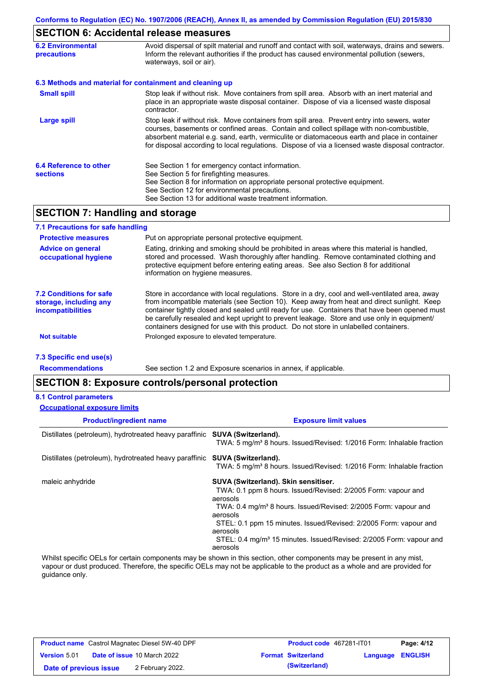# **SECTION 6: Accidental release measures**

| <b>6.2 Environmental</b><br><b>precautions</b> | Avoid dispersal of spilt material and runoff and contact with soil, waterways, drains and sewers.<br>Inform the relevant authorities if the product has caused environmental pollution (sewers,<br>waterways, soil or air).                                                                                                                                                                    |
|------------------------------------------------|------------------------------------------------------------------------------------------------------------------------------------------------------------------------------------------------------------------------------------------------------------------------------------------------------------------------------------------------------------------------------------------------|
|                                                | 6.3 Methods and material for containment and cleaning up                                                                                                                                                                                                                                                                                                                                       |
| <b>Small spill</b>                             | Stop leak if without risk. Move containers from spill area. Absorb with an inert material and<br>place in an appropriate waste disposal container. Dispose of via a licensed waste disposal<br>contractor.                                                                                                                                                                                     |
| Large spill                                    | Stop leak if without risk. Move containers from spill area. Prevent entry into sewers, water<br>courses, basements or confined areas. Contain and collect spillage with non-combustible,<br>absorbent material e.g. sand, earth, vermiculite or diatomaceous earth and place in container<br>for disposal according to local regulations. Dispose of via a licensed waste disposal contractor. |
| 6.4 Reference to other<br><b>sections</b>      | See Section 1 for emergency contact information.<br>See Section 5 for firefighting measures.<br>See Section 8 for information on appropriate personal protective equipment.<br>See Section 12 for environmental precautions.<br>See Section 13 for additional waste treatment information.                                                                                                     |

# **SECTION 7: Handling and storage**

| 7.1 Precautions for safe handling                                             |                                                                                                                                                                                                                                                                                                                                                                                                                                                                                          |
|-------------------------------------------------------------------------------|------------------------------------------------------------------------------------------------------------------------------------------------------------------------------------------------------------------------------------------------------------------------------------------------------------------------------------------------------------------------------------------------------------------------------------------------------------------------------------------|
| <b>Protective measures</b>                                                    | Put on appropriate personal protective equipment.                                                                                                                                                                                                                                                                                                                                                                                                                                        |
| <b>Advice on general</b><br>occupational hygiene                              | Eating, drinking and smoking should be prohibited in areas where this material is handled,<br>stored and processed. Wash thoroughly after handling. Remove contaminated clothing and<br>protective equipment before entering eating areas. See also Section 8 for additional<br>information on hygiene measures.                                                                                                                                                                         |
| 7.2 Conditions for safe<br>storage, including any<br><i>incompatibilities</i> | Store in accordance with local requlations. Store in a dry, cool and well-ventilated area, away<br>from incompatible materials (see Section 10). Keep away from heat and direct sunlight. Keep<br>container tightly closed and sealed until ready for use. Containers that have been opened must<br>be carefully resealed and kept upright to prevent leakage. Store and use only in equipment/<br>containers designed for use with this product. Do not store in unlabelled containers. |
| <b>Not suitable</b>                                                           | Prolonged exposure to elevated temperature.                                                                                                                                                                                                                                                                                                                                                                                                                                              |
| 7.3 Specific end use(s)                                                       |                                                                                                                                                                                                                                                                                                                                                                                                                                                                                          |

**Recommendations**

See section 1.2 and Exposure scenarios in annex, if applicable.

### **SECTION 8: Exposure controls/personal protection**

#### **8.1 Control parameters**

| <b>Occupational exposure limits</b>                    |                                                                                                                                                                                                                                                                                                                                                                                              |
|--------------------------------------------------------|----------------------------------------------------------------------------------------------------------------------------------------------------------------------------------------------------------------------------------------------------------------------------------------------------------------------------------------------------------------------------------------------|
| <b>Product/ingredient name</b>                         | <b>Exposure limit values</b>                                                                                                                                                                                                                                                                                                                                                                 |
| Distillates (petroleum), hydrotreated heavy paraffinic | <b>SUVA (Switzerland).</b><br>TWA: 5 mg/m <sup>3</sup> 8 hours. Issued/Revised: 1/2016 Form: Inhalable fraction                                                                                                                                                                                                                                                                              |
| Distillates (petroleum), hydrotreated heavy paraffinic | <b>SUVA (Switzerland).</b><br>TWA: 5 mg/m <sup>3</sup> 8 hours. Issued/Revised: 1/2016 Form: Inhalable fraction                                                                                                                                                                                                                                                                              |
| maleic anhydride                                       | SUVA (Switzerland). Skin sensitiser.<br>TWA: 0.1 ppm 8 hours. Issued/Revised: 2/2005 Form: vapour and<br>aerosols<br>TWA: 0.4 mg/m <sup>3</sup> 8 hours. Issued/Revised: 2/2005 Form: vapour and<br>aerosols<br>STEL: 0.1 ppm 15 minutes. Issued/Revised: 2/2005 Form: vapour and<br>aerosols<br>STEL: 0.4 mg/m <sup>3</sup> 15 minutes. Issued/Revised: 2/2005 Form: vapour and<br>aerosols |

Whilst specific OELs for certain components may be shown in this section, other components may be present in any mist, vapour or dust produced. Therefore, the specific OELs may not be applicable to the product as a whole and are provided for guidance only.

| <b>Product name</b> Castrol Magnatec Diesel 5W-40 DPF |  |                                    | Product code 467281-IT01  | Page: 4/12              |  |
|-------------------------------------------------------|--|------------------------------------|---------------------------|-------------------------|--|
| <b>Version 5.01</b>                                   |  | <b>Date of issue 10 March 2022</b> | <b>Format Switzerland</b> | <b>Language ENGLISH</b> |  |
| Date of previous issue                                |  | 2 February 2022.                   | (Switzerland)             |                         |  |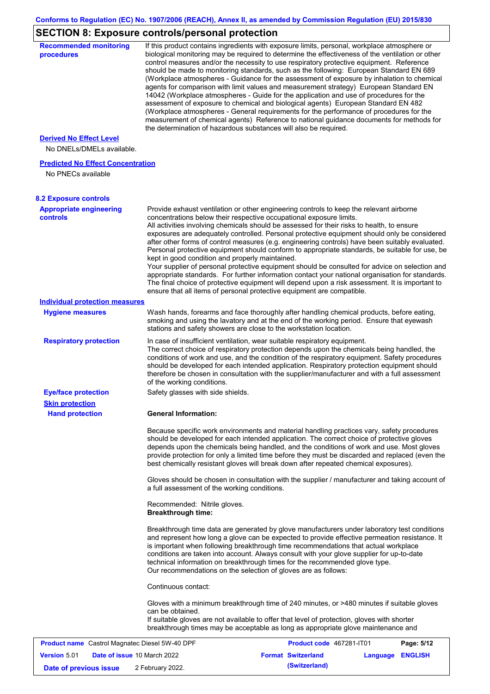# **SECTION 8: Exposure controls/personal protection**

| <b>Recommended monitoring</b><br>procedures                    |                                                           | If this product contains ingredients with exposure limits, personal, workplace atmosphere or<br>biological monitoring may be required to determine the effectiveness of the ventilation or other<br>control measures and/or the necessity to use respiratory protective equipment. Reference<br>should be made to monitoring standards, such as the following: European Standard EN 689<br>(Workplace atmospheres - Guidance for the assessment of exposure by inhalation to chemical<br>agents for comparison with limit values and measurement strategy) European Standard EN<br>14042 (Workplace atmospheres - Guide for the application and use of procedures for the<br>assessment of exposure to chemical and biological agents) European Standard EN 482<br>(Workplace atmospheres - General requirements for the performance of procedures for the<br>measurement of chemical agents) Reference to national guidance documents for methods for<br>the determination of hazardous substances will also be required. |          |                |
|----------------------------------------------------------------|-----------------------------------------------------------|----------------------------------------------------------------------------------------------------------------------------------------------------------------------------------------------------------------------------------------------------------------------------------------------------------------------------------------------------------------------------------------------------------------------------------------------------------------------------------------------------------------------------------------------------------------------------------------------------------------------------------------------------------------------------------------------------------------------------------------------------------------------------------------------------------------------------------------------------------------------------------------------------------------------------------------------------------------------------------------------------------------------------|----------|----------------|
| <b>Derived No Effect Level</b><br>No DNELs/DMELs available.    |                                                           |                                                                                                                                                                                                                                                                                                                                                                                                                                                                                                                                                                                                                                                                                                                                                                                                                                                                                                                                                                                                                            |          |                |
| <b>Predicted No Effect Concentration</b><br>No PNECs available |                                                           |                                                                                                                                                                                                                                                                                                                                                                                                                                                                                                                                                                                                                                                                                                                                                                                                                                                                                                                                                                                                                            |          |                |
| <b>8.2 Exposure controls</b>                                   |                                                           |                                                                                                                                                                                                                                                                                                                                                                                                                                                                                                                                                                                                                                                                                                                                                                                                                                                                                                                                                                                                                            |          |                |
| <b>Appropriate engineering</b><br><b>controls</b>              | kept in good condition and properly maintained.           | Provide exhaust ventilation or other engineering controls to keep the relevant airborne<br>concentrations below their respective occupational exposure limits.<br>All activities involving chemicals should be assessed for their risks to health, to ensure<br>exposures are adequately controlled. Personal protective equipment should only be considered<br>after other forms of control measures (e.g. engineering controls) have been suitably evaluated.<br>Personal protective equipment should conform to appropriate standards, be suitable for use, be<br>Your supplier of personal protective equipment should be consulted for advice on selection and<br>appropriate standards. For further information contact your national organisation for standards.<br>The final choice of protective equipment will depend upon a risk assessment. It is important to<br>ensure that all items of personal protective equipment are compatible.                                                                       |          |                |
| <b>Individual protection measures</b>                          |                                                           |                                                                                                                                                                                                                                                                                                                                                                                                                                                                                                                                                                                                                                                                                                                                                                                                                                                                                                                                                                                                                            |          |                |
| <b>Hygiene measures</b>                                        |                                                           | Wash hands, forearms and face thoroughly after handling chemical products, before eating,<br>smoking and using the lavatory and at the end of the working period. Ensure that eyewash<br>stations and safety showers are close to the workstation location.                                                                                                                                                                                                                                                                                                                                                                                                                                                                                                                                                                                                                                                                                                                                                                |          |                |
| <b>Respiratory protection</b>                                  | of the working conditions.                                | In case of insufficient ventilation, wear suitable respiratory equipment.<br>The correct choice of respiratory protection depends upon the chemicals being handled, the<br>conditions of work and use, and the condition of the respiratory equipment. Safety procedures<br>should be developed for each intended application. Respiratory protection equipment should<br>therefore be chosen in consultation with the supplier/manufacturer and with a full assessment                                                                                                                                                                                                                                                                                                                                                                                                                                                                                                                                                    |          |                |
| <b>Eye/face protection</b><br><b>Skin protection</b>           | Safety glasses with side shields.                         |                                                                                                                                                                                                                                                                                                                                                                                                                                                                                                                                                                                                                                                                                                                                                                                                                                                                                                                                                                                                                            |          |                |
| <b>Hand protection</b>                                         | <b>General Information:</b>                               |                                                                                                                                                                                                                                                                                                                                                                                                                                                                                                                                                                                                                                                                                                                                                                                                                                                                                                                                                                                                                            |          |                |
|                                                                |                                                           | Because specific work environments and material handling practices vary, safety procedures<br>should be developed for each intended application. The correct choice of protective gloves<br>depends upon the chemicals being handled, and the conditions of work and use. Most gloves<br>provide protection for only a limited time before they must be discarded and replaced (even the<br>best chemically resistant gloves will break down after repeated chemical exposures).<br>Gloves should be chosen in consultation with the supplier / manufacturer and taking account of                                                                                                                                                                                                                                                                                                                                                                                                                                         |          |                |
|                                                                | a full assessment of the working conditions.              |                                                                                                                                                                                                                                                                                                                                                                                                                                                                                                                                                                                                                                                                                                                                                                                                                                                                                                                                                                                                                            |          |                |
|                                                                | Recommended: Nitrile gloves.<br><b>Breakthrough time:</b> |                                                                                                                                                                                                                                                                                                                                                                                                                                                                                                                                                                                                                                                                                                                                                                                                                                                                                                                                                                                                                            |          |                |
|                                                                |                                                           | Breakthrough time data are generated by glove manufacturers under laboratory test conditions<br>and represent how long a glove can be expected to provide effective permeation resistance. It<br>is important when following breakthrough time recommendations that actual workplace<br>conditions are taken into account. Always consult with your glove supplier for up-to-date<br>technical information on breakthrough times for the recommended glove type.<br>Our recommendations on the selection of gloves are as follows:                                                                                                                                                                                                                                                                                                                                                                                                                                                                                         |          |                |
|                                                                | Continuous contact:                                       |                                                                                                                                                                                                                                                                                                                                                                                                                                                                                                                                                                                                                                                                                                                                                                                                                                                                                                                                                                                                                            |          |                |
|                                                                | can be obtained.                                          | Gloves with a minimum breakthrough time of 240 minutes, or >480 minutes if suitable gloves<br>If suitable gloves are not available to offer that level of protection, gloves with shorter<br>breakthrough times may be acceptable as long as appropriate glove maintenance and                                                                                                                                                                                                                                                                                                                                                                                                                                                                                                                                                                                                                                                                                                                                             |          |                |
| <b>Product name</b> Castrol Magnatec Diesel 5W-40 DPF          |                                                           | Product code 467281-IT01                                                                                                                                                                                                                                                                                                                                                                                                                                                                                                                                                                                                                                                                                                                                                                                                                                                                                                                                                                                                   |          | Page: 5/12     |
| <b>Version 5.01</b><br>Date of issue 10 March 2022             |                                                           | <b>Format Switzerland</b>                                                                                                                                                                                                                                                                                                                                                                                                                                                                                                                                                                                                                                                                                                                                                                                                                                                                                                                                                                                                  | Language | <b>ENGLISH</b> |
| Date of previous issue                                         | 2 February 2022.                                          | (Switzerland)                                                                                                                                                                                                                                                                                                                                                                                                                                                                                                                                                                                                                                                                                                                                                                                                                                                                                                                                                                                                              |          |                |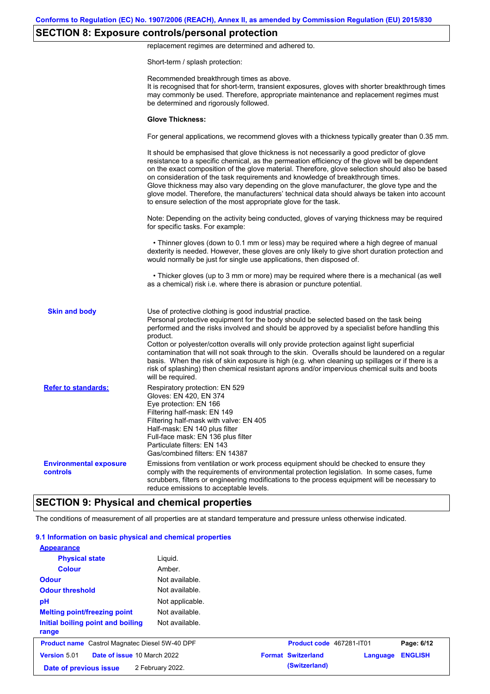# **SECTION 8: Exposure controls/personal protection**

replacement regimes are determined and adhered to.

Short-term / splash protection:

|                                           | Recommended breakthrough times as above.<br>It is recognised that for short-term, transient exposures, gloves with shorter breakthrough times<br>may commonly be used. Therefore, appropriate maintenance and replacement regimes must<br>be determined and rigorously followed.                                                                                                                                                                                                                                                                                                                                                                                                      |
|-------------------------------------------|---------------------------------------------------------------------------------------------------------------------------------------------------------------------------------------------------------------------------------------------------------------------------------------------------------------------------------------------------------------------------------------------------------------------------------------------------------------------------------------------------------------------------------------------------------------------------------------------------------------------------------------------------------------------------------------|
|                                           | <b>Glove Thickness:</b>                                                                                                                                                                                                                                                                                                                                                                                                                                                                                                                                                                                                                                                               |
|                                           | For general applications, we recommend gloves with a thickness typically greater than 0.35 mm.                                                                                                                                                                                                                                                                                                                                                                                                                                                                                                                                                                                        |
|                                           | It should be emphasised that glove thickness is not necessarily a good predictor of glove<br>resistance to a specific chemical, as the permeation efficiency of the glove will be dependent<br>on the exact composition of the glove material. Therefore, glove selection should also be based<br>on consideration of the task requirements and knowledge of breakthrough times.<br>Glove thickness may also vary depending on the glove manufacturer, the glove type and the<br>glove model. Therefore, the manufacturers' technical data should always be taken into account<br>to ensure selection of the most appropriate glove for the task.                                     |
|                                           | Note: Depending on the activity being conducted, gloves of varying thickness may be required<br>for specific tasks. For example:                                                                                                                                                                                                                                                                                                                                                                                                                                                                                                                                                      |
|                                           | • Thinner gloves (down to 0.1 mm or less) may be required where a high degree of manual<br>dexterity is needed. However, these gloves are only likely to give short duration protection and<br>would normally be just for single use applications, then disposed of.                                                                                                                                                                                                                                                                                                                                                                                                                  |
|                                           | • Thicker gloves (up to 3 mm or more) may be required where there is a mechanical (as well<br>as a chemical) risk i.e. where there is abrasion or puncture potential.                                                                                                                                                                                                                                                                                                                                                                                                                                                                                                                 |
| <b>Skin and body</b>                      | Use of protective clothing is good industrial practice.<br>Personal protective equipment for the body should be selected based on the task being<br>performed and the risks involved and should be approved by a specialist before handling this<br>product.<br>Cotton or polyester/cotton overalls will only provide protection against light superficial<br>contamination that will not soak through to the skin. Overalls should be laundered on a regular<br>basis. When the risk of skin exposure is high (e.g. when cleaning up spillages or if there is a<br>risk of splashing) then chemical resistant aprons and/or impervious chemical suits and boots<br>will be required. |
| <b>Refer to standards:</b>                | Respiratory protection: EN 529<br>Gloves: EN 420, EN 374<br>Eye protection: EN 166<br>Filtering half-mask: EN 149<br>Filtering half-mask with valve: EN 405<br>Half-mask: EN 140 plus filter<br>Full-face mask: EN 136 plus filter<br>Particulate filters: EN 143<br>Gas/combined filters: EN 14387                                                                                                                                                                                                                                                                                                                                                                                   |
| <b>Environmental exposure</b><br>controls | Emissions from ventilation or work process equipment should be checked to ensure they<br>comply with the requirements of environmental protection legislation. In some cases, fume<br>scrubbers, filters or engineering modifications to the process equipment will be necessary to<br>reduce emissions to acceptable levels.                                                                                                                                                                                                                                                                                                                                                         |
|                                           | <b>SECTION 9: Physical and chemical properties</b>                                                                                                                                                                                                                                                                                                                                                                                                                                                                                                                                                                                                                                    |

### The conditions of measurement of all properties are at standard temperature and pressure unless otherwise indicated.

| 9.1 Information on basic physical and chemical properties |                  |                           |          |                |
|-----------------------------------------------------------|------------------|---------------------------|----------|----------------|
| <b>Appearance</b>                                         |                  |                           |          |                |
| <b>Physical state</b>                                     | Liquid.          |                           |          |                |
| <b>Colour</b>                                             | Amber.           |                           |          |                |
| <b>Odour</b>                                              | Not available.   |                           |          |                |
| <b>Odour threshold</b>                                    | Not available.   |                           |          |                |
| pH                                                        | Not applicable.  |                           |          |                |
| <b>Melting point/freezing point</b>                       | Not available.   |                           |          |                |
| Initial boiling point and boiling<br>range                | Not available.   |                           |          |                |
| <b>Product name</b> Castrol Magnatec Diesel 5W-40 DPF     |                  | Product code 467281-IT01  |          | Page: 6/12     |
| Date of issue 10 March 2022<br>Version 5.01               |                  | <b>Format Switzerland</b> | Language | <b>ENGLISH</b> |
| Date of previous issue                                    | 2 February 2022. | (Switzerland)             |          |                |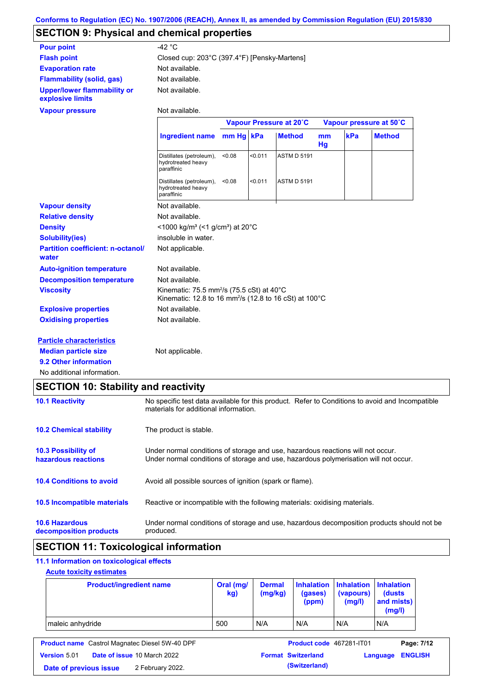# **SECTION 9: Physical and chemical properties**

| <b>Pour point</b>                                      | $-42 °C$                                                                                                                               |           |         |                         |          |     |                         |
|--------------------------------------------------------|----------------------------------------------------------------------------------------------------------------------------------------|-----------|---------|-------------------------|----------|-----|-------------------------|
| <b>Flash point</b>                                     | Closed cup: 203°C (397.4°F) [Pensky-Martens]                                                                                           |           |         |                         |          |     |                         |
| <b>Evaporation rate</b>                                | Not available.                                                                                                                         |           |         |                         |          |     |                         |
| <b>Flammability (solid, gas)</b>                       | Not available.                                                                                                                         |           |         |                         |          |     |                         |
| <b>Upper/lower flammability or</b><br>explosive limits | Not available.                                                                                                                         |           |         |                         |          |     |                         |
| <b>Vapour pressure</b>                                 | Not available.                                                                                                                         |           |         |                         |          |     |                         |
|                                                        |                                                                                                                                        |           |         | Vapour Pressure at 20°C |          |     | Vapour pressure at 50°C |
|                                                        | <b>Ingredient name</b>                                                                                                                 | mm Hg kPa |         | <b>Method</b>           | mm<br>Hg | kPa | <b>Method</b>           |
|                                                        | Distillates (petroleum),<br>hydrotreated heavy<br>paraffinic                                                                           | < 0.08    | < 0.011 | <b>ASTM D 5191</b>      |          |     |                         |
|                                                        | Distillates (petroleum),<br>hydrotreated heavy<br>paraffinic                                                                           | < 0.08    | < 0.011 | <b>ASTM D 5191</b>      |          |     |                         |
| <b>Vapour density</b>                                  | Not available.                                                                                                                         |           |         |                         |          |     |                         |
| <b>Relative density</b>                                | Not available.                                                                                                                         |           |         |                         |          |     |                         |
| <b>Density</b>                                         | <1000 kg/m <sup>3</sup> (<1 g/cm <sup>3</sup> ) at 20 <sup>°</sup> C                                                                   |           |         |                         |          |     |                         |
| <b>Solubility(ies)</b>                                 | insoluble in water.                                                                                                                    |           |         |                         |          |     |                         |
| <b>Partition coefficient: n-octanol/</b><br>water      | Not applicable.                                                                                                                        |           |         |                         |          |     |                         |
| <b>Auto-ignition temperature</b>                       | Not available.                                                                                                                         |           |         |                         |          |     |                         |
| <b>Decomposition temperature</b>                       | Not available.                                                                                                                         |           |         |                         |          |     |                         |
| <b>Viscosity</b>                                       | Kinematic: 75.5 mm <sup>2</sup> /s (75.5 cSt) at 40 $^{\circ}$ C<br>Kinematic: 12.8 to 16 mm <sup>2</sup> /s (12.8 to 16 cSt) at 100°C |           |         |                         |          |     |                         |
| <b>Explosive properties</b>                            | Not available.                                                                                                                         |           |         |                         |          |     |                         |
| <b>Oxidising properties</b>                            | Not available.                                                                                                                         |           |         |                         |          |     |                         |
| <b>Particle characteristics</b>                        |                                                                                                                                        |           |         |                         |          |     |                         |
| <b>Median particle size</b>                            | Not applicable.                                                                                                                        |           |         |                         |          |     |                         |
| 9.2 Other information                                  |                                                                                                                                        |           |         |                         |          |     |                         |
| No additional information.                             |                                                                                                                                        |           |         |                         |          |     |                         |

# **SECTION 10: Stability and reactivity**

| <b>10.1 Reactivity</b>                            | No specific test data available for this product. Refer to Conditions to avoid and Incompatible<br>materials for additional information.                                |
|---------------------------------------------------|-------------------------------------------------------------------------------------------------------------------------------------------------------------------------|
| <b>10.2 Chemical stability</b>                    | The product is stable.                                                                                                                                                  |
| <b>10.3 Possibility of</b><br>hazardous reactions | Under normal conditions of storage and use, hazardous reactions will not occur.<br>Under normal conditions of storage and use, hazardous polymerisation will not occur. |
| <b>10.4 Conditions to avoid</b>                   | Avoid all possible sources of ignition (spark or flame).                                                                                                                |
| 10.5 Incompatible materials                       | Reactive or incompatible with the following materials: oxidising materials.                                                                                             |
| <b>10.6 Hazardous</b><br>decomposition products   | Under normal conditions of storage and use, hazardous decomposition products should not be<br>produced.                                                                 |

# **SECTION 11: Toxicological information**

# **11.1 Information on toxicological effects**

### **Acute toxicity estimates**

| <b>Product/ingredient name</b> | Oral (mg/<br>kg) | <b>Dermal</b><br>(mg/kg) | (gases)<br>(ppm) | Inhalation   Inhalation   Inhalation<br>(vapours)<br>(mg/l) | (dusts)<br>and mists)<br>(mg/l) |
|--------------------------------|------------------|--------------------------|------------------|-------------------------------------------------------------|---------------------------------|
| maleic anhydride               | 500              | N/A                      | N/A              | N/A                                                         | N/A                             |

| <b>Product name</b> Castrol Magnatec Diesel 5W-40 DPF |  | Product code 467281-IT01           |                           | Page: 7/12              |  |
|-------------------------------------------------------|--|------------------------------------|---------------------------|-------------------------|--|
| <b>Version 5.01</b>                                   |  | <b>Date of issue 10 March 2022</b> | <b>Format Switzerland</b> | <b>Language ENGLISH</b> |  |
| Date of previous issue                                |  | 2 February 2022.                   | (Switzerland)             |                         |  |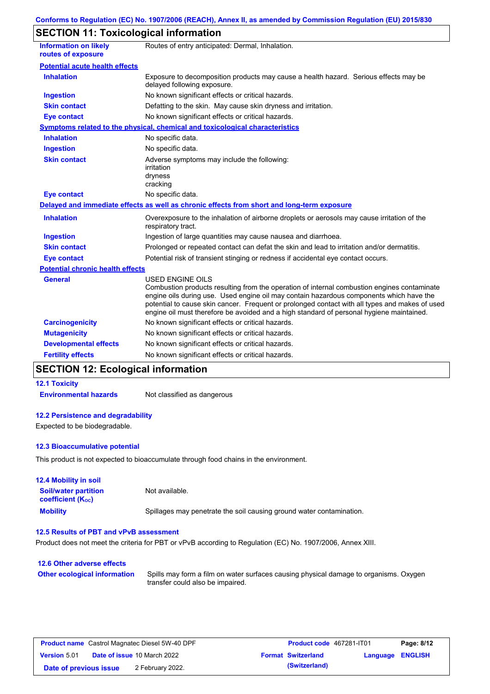# **SECTION 11: Toxicological information**

| <b>Information on likely</b><br>routes of exposure | Routes of entry anticipated: Dermal, Inhalation.                                                                                                                                                                                                                                                                                                                                                                |
|----------------------------------------------------|-----------------------------------------------------------------------------------------------------------------------------------------------------------------------------------------------------------------------------------------------------------------------------------------------------------------------------------------------------------------------------------------------------------------|
| <b>Potential acute health effects</b>              |                                                                                                                                                                                                                                                                                                                                                                                                                 |
| <b>Inhalation</b>                                  | Exposure to decomposition products may cause a health hazard. Serious effects may be<br>delayed following exposure.                                                                                                                                                                                                                                                                                             |
| <b>Ingestion</b>                                   | No known significant effects or critical hazards.                                                                                                                                                                                                                                                                                                                                                               |
| <b>Skin contact</b>                                | Defatting to the skin. May cause skin dryness and irritation.                                                                                                                                                                                                                                                                                                                                                   |
| <b>Eye contact</b>                                 | No known significant effects or critical hazards.                                                                                                                                                                                                                                                                                                                                                               |
|                                                    | Symptoms related to the physical, chemical and toxicological characteristics                                                                                                                                                                                                                                                                                                                                    |
| <b>Inhalation</b>                                  | No specific data.                                                                                                                                                                                                                                                                                                                                                                                               |
| <b>Ingestion</b>                                   | No specific data.                                                                                                                                                                                                                                                                                                                                                                                               |
| <b>Skin contact</b>                                | Adverse symptoms may include the following:<br>irritation<br>dryness<br>cracking                                                                                                                                                                                                                                                                                                                                |
| <b>Eye contact</b>                                 | No specific data.                                                                                                                                                                                                                                                                                                                                                                                               |
|                                                    | Delayed and immediate effects as well as chronic effects from short and long-term exposure                                                                                                                                                                                                                                                                                                                      |
| <b>Inhalation</b>                                  | Overexposure to the inhalation of airborne droplets or aerosols may cause irritation of the<br>respiratory tract.                                                                                                                                                                                                                                                                                               |
| <b>Ingestion</b>                                   | Ingestion of large quantities may cause nausea and diarrhoea.                                                                                                                                                                                                                                                                                                                                                   |
| <b>Skin contact</b>                                | Prolonged or repeated contact can defat the skin and lead to irritation and/or dermatitis.                                                                                                                                                                                                                                                                                                                      |
| <b>Eye contact</b>                                 | Potential risk of transient stinging or redness if accidental eye contact occurs.                                                                                                                                                                                                                                                                                                                               |
| <b>Potential chronic health effects</b>            |                                                                                                                                                                                                                                                                                                                                                                                                                 |
| <b>General</b>                                     | <b>USED ENGINE OILS</b><br>Combustion products resulting from the operation of internal combustion engines contaminate<br>engine oils during use. Used engine oil may contain hazardous components which have the<br>potential to cause skin cancer. Frequent or prolonged contact with all types and makes of used<br>engine oil must therefore be avoided and a high standard of personal hygiene maintained. |
| <b>Carcinogenicity</b>                             | No known significant effects or critical hazards.                                                                                                                                                                                                                                                                                                                                                               |
| <b>Mutagenicity</b>                                | No known significant effects or critical hazards.                                                                                                                                                                                                                                                                                                                                                               |
| <b>Developmental effects</b>                       | No known significant effects or critical hazards.                                                                                                                                                                                                                                                                                                                                                               |
| <b>Fertility effects</b>                           | No known significant effects or critical hazards.                                                                                                                                                                                                                                                                                                                                                               |

# **SECTION 12: Ecological information**

### **12.1 Toxicity**

**Environmental hazards** Not classified as dangerous

### **12.2 Persistence and degradability**

Expected to be biodegradable.

#### **12.3 Bioaccumulative potential**

This product is not expected to bioaccumulate through food chains in the environment.

| <b>12.4 Mobility in soil</b>                                  |                                                                      |
|---------------------------------------------------------------|----------------------------------------------------------------------|
| <b>Soil/water partition</b><br>coefficient (K <sub>oc</sub> ) | Not available.                                                       |
| <b>Mobility</b>                                               | Spillages may penetrate the soil causing ground water contamination. |

#### **12.5 Results of PBT and vPvB assessment**

Product does not meet the criteria for PBT or vPvB according to Regulation (EC) No. 1907/2006, Annex XIII.

#### **12.6 Other adverse effects Other ecological information**

Spills may form a film on water surfaces causing physical damage to organisms. Oxygen transfer could also be impaired.

| <b>Product name</b> Castrol Magnatec Diesel 5W-40 DPF |  | <b>Product code</b> 467281-IT01    |                           | Page: 8/12       |  |
|-------------------------------------------------------|--|------------------------------------|---------------------------|------------------|--|
| <b>Version 5.01</b>                                   |  | <b>Date of issue 10 March 2022</b> | <b>Format Switzerland</b> | Language ENGLISH |  |
| Date of previous issue                                |  | 2 February 2022.                   | (Switzerland)             |                  |  |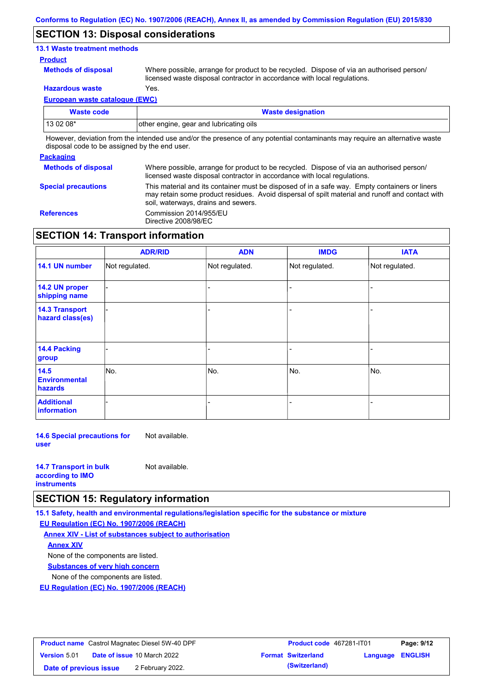### **SECTION 13: Disposal considerations**

#### **13.1 Waste treatment methods**

#### **Product**

**Methods of disposal**

Where possible, arrange for product to be recycled. Dispose of via an authorised person/ licensed waste disposal contractor in accordance with local regulations.

**Hazardous waste** Yes.

**European waste catalogue (EWC)**

| Waste code                                                                                                                 | <b>Waste designation</b>                |  |
|----------------------------------------------------------------------------------------------------------------------------|-----------------------------------------|--|
| $130208*$                                                                                                                  | other engine, gear and lubricating oils |  |
| Unuques deviation from the intended use end/or the presence of onu patential conteminante mourneurire on elternative works |                                         |  |

However, deviation from the intended use and/or the presence of any potential contaminants may require an alternative waste disposal code to be assigned by the end user.

#### **Packaging**

| 1.491199119                |                                                                                                                                                                                                                                         |
|----------------------------|-----------------------------------------------------------------------------------------------------------------------------------------------------------------------------------------------------------------------------------------|
| <b>Methods of disposal</b> | Where possible, arrange for product to be recycled. Dispose of via an authorised person/<br>licensed waste disposal contractor in accordance with local regulations.                                                                    |
| <b>Special precautions</b> | This material and its container must be disposed of in a safe way. Empty containers or liners<br>may retain some product residues. Avoid dispersal of spilt material and runoff and contact with<br>soil, waterways, drains and sewers. |
| <b>References</b>          | Commission 2014/955/EU<br>Directive 2008/98/EC                                                                                                                                                                                          |

## **SECTION 14: Transport information**

|                                           | <b>ADR/RID</b> | <b>ADN</b>     | <b>IMDG</b>    | <b>IATA</b>    |
|-------------------------------------------|----------------|----------------|----------------|----------------|
| 14.1 UN number                            | Not regulated. | Not regulated. | Not regulated. | Not regulated. |
| 14.2 UN proper<br>shipping name           |                |                |                |                |
| <b>14.3 Transport</b><br>hazard class(es) |                |                |                |                |
| 14.4 Packing<br>group                     |                |                |                |                |
| 14.5<br><b>Environmental</b><br>hazards   | No.            | No.            | No.            | No.            |
| <b>Additional</b><br>information          |                |                |                |                |

**14.6 Special precautions for user** Not available.

| <b>14.7 Transport in bulk</b> | Not available. |
|-------------------------------|----------------|
| according to <b>IMO</b>       |                |
| <b>instruments</b>            |                |

### **SECTION 15: Regulatory information**

**15.1 Safety, health and environmental regulations/legislation specific for the substance or mixture**

**EU Regulation (EC) No. 1907/2006 (REACH)**

**Annex XIV - List of substances subject to authorisation Substances of very high concern** None of the components are listed. None of the components are listed. **Annex XIV**

**EU Regulation (EC) No. 1907/2006 (REACH)**

| <b>Product name</b> Castrol Magnatec Diesel 5W-40 DPF |  | <b>Product code</b> 467281-IT01    |                           | Page: 9/12       |  |
|-------------------------------------------------------|--|------------------------------------|---------------------------|------------------|--|
| <b>Version 5.01</b>                                   |  | <b>Date of issue 10 March 2022</b> | <b>Format Switzerland</b> | Language ENGLISH |  |
| Date of previous issue                                |  | 2 February 2022.                   | (Switzerland)             |                  |  |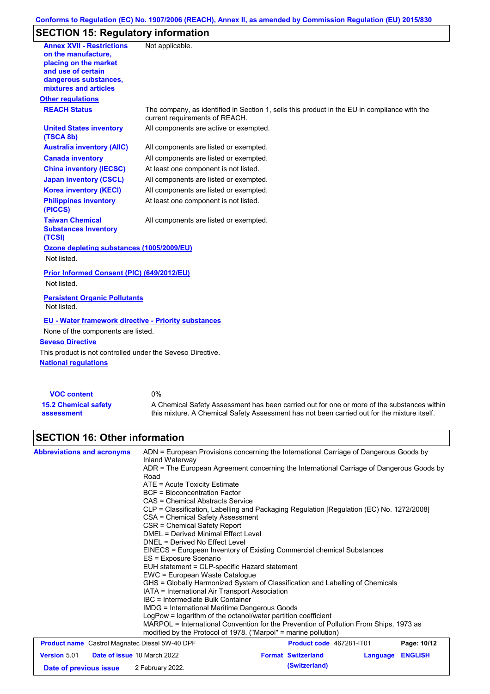## **Conforms to Regulation (EC) No. 1907/2006 (REACH), Annex II, as amended by Commission Regulation (EU) 2015/830**

# **SECTION 15: Regulatory information**

| <b>Annex XVII - Restrictions</b><br>on the manufacture,<br>placing on the market<br>and use of certain<br>dangerous substances,<br>mixtures and articles | Not applicable.                                                                                                                |
|----------------------------------------------------------------------------------------------------------------------------------------------------------|--------------------------------------------------------------------------------------------------------------------------------|
| <b>Other regulations</b>                                                                                                                                 |                                                                                                                                |
| <b>REACH Status</b>                                                                                                                                      | The company, as identified in Section 1, sells this product in the EU in compliance with the<br>current requirements of REACH. |
| <b>United States inventory</b><br>(TSCA 8b)                                                                                                              | All components are active or exempted.                                                                                         |
| <b>Australia inventory (AIIC)</b>                                                                                                                        | All components are listed or exempted.                                                                                         |
| <b>Canada inventory</b>                                                                                                                                  | All components are listed or exempted.                                                                                         |
| <b>China inventory (IECSC)</b>                                                                                                                           | At least one component is not listed.                                                                                          |
| <b>Japan inventory (CSCL)</b>                                                                                                                            | All components are listed or exempted.                                                                                         |
| <b>Korea inventory (KECI)</b>                                                                                                                            | All components are listed or exempted.                                                                                         |
| <b>Philippines inventory</b><br>(PICCS)                                                                                                                  | At least one component is not listed.                                                                                          |
| <b>Taiwan Chemical</b><br><b>Substances Inventory</b><br>(TCSI)                                                                                          | All components are listed or exempted.                                                                                         |
| Ozone depleting substances (1005/2009/EU)                                                                                                                |                                                                                                                                |
| Not listed.                                                                                                                                              |                                                                                                                                |
| Prior Informed Consent (PIC) (649/2012/EU)<br>Not listed.                                                                                                |                                                                                                                                |
| <b>Persistent Organic Pollutants</b><br>Not listed.                                                                                                      |                                                                                                                                |
| <b>EU - Water framework directive - Priority substances</b><br>None of the components are listed.                                                        |                                                                                                                                |
| <b>Seveso Directive</b>                                                                                                                                  |                                                                                                                                |
| This product is not controlled under the Seveso Directive.<br><b>National regulations</b>                                                                |                                                                                                                                |
|                                                                                                                                                          |                                                                                                                                |

| <b>VOC content</b>          | 0%                                                                                          |
|-----------------------------|---------------------------------------------------------------------------------------------|
| <b>15.2 Chemical safety</b> | A Chemical Safety Assessment has been carried out for one or more of the substances within  |
| assessment                  | this mixture. A Chemical Safety Assessment has not been carried out for the mixture itself. |

# **SECTION 16: Other information**

| <b>Abbreviations and acronyms</b>                                                                                                                                        | ADN = European Provisions concerning the International Carriage of Dangerous Goods by<br>Inland Waterway                                                 |  |  |  |  |
|--------------------------------------------------------------------------------------------------------------------------------------------------------------------------|----------------------------------------------------------------------------------------------------------------------------------------------------------|--|--|--|--|
|                                                                                                                                                                          | ADR = The European Agreement concerning the International Carriage of Dangerous Goods by<br>Road                                                         |  |  |  |  |
|                                                                                                                                                                          | $ATE = Acute Toxicity Estimate$                                                                                                                          |  |  |  |  |
|                                                                                                                                                                          | <b>BCF</b> = Bioconcentration Factor                                                                                                                     |  |  |  |  |
|                                                                                                                                                                          | CAS = Chemical Abstracts Service<br>CLP = Classification, Labelling and Packaging Regulation [Regulation (EC) No. 1272/2008]                             |  |  |  |  |
|                                                                                                                                                                          |                                                                                                                                                          |  |  |  |  |
|                                                                                                                                                                          | CSA = Chemical Safety Assessment                                                                                                                         |  |  |  |  |
|                                                                                                                                                                          | CSR = Chemical Safety Report                                                                                                                             |  |  |  |  |
|                                                                                                                                                                          | <b>DMEL = Derived Minimal Effect Level</b>                                                                                                               |  |  |  |  |
|                                                                                                                                                                          | DNEL = Derived No Effect Level                                                                                                                           |  |  |  |  |
|                                                                                                                                                                          | EINECS = European Inventory of Existing Commercial chemical Substances                                                                                   |  |  |  |  |
|                                                                                                                                                                          | ES = Exposure Scenario                                                                                                                                   |  |  |  |  |
|                                                                                                                                                                          | EUH statement = CLP-specific Hazard statement                                                                                                            |  |  |  |  |
|                                                                                                                                                                          | EWC = European Waste Catalogue                                                                                                                           |  |  |  |  |
|                                                                                                                                                                          | GHS = Globally Harmonized System of Classification and Labelling of Chemicals                                                                            |  |  |  |  |
|                                                                                                                                                                          | IATA = International Air Transport Association                                                                                                           |  |  |  |  |
|                                                                                                                                                                          | IBC = Intermediate Bulk Container                                                                                                                        |  |  |  |  |
|                                                                                                                                                                          | IMDG = International Maritime Dangerous Goods                                                                                                            |  |  |  |  |
|                                                                                                                                                                          | LogPow = logarithm of the octanol/water partition coefficient                                                                                            |  |  |  |  |
|                                                                                                                                                                          | MARPOL = International Convention for the Prevention of Pollution From Ships, 1973 as<br>modified by the Protocol of 1978. ("Marpol" = marine pollution) |  |  |  |  |
| <b>Product name</b> Castrol Magnatec Diesel 5W-40 DPF                                                                                                                    | Product code 467281-IT01<br>Page: 10/12                                                                                                                  |  |  |  |  |
| $\mathbf{v}$ $\mathbf{v}$ $\mathbf{v}$ $\mathbf{v}$ $\mathbf{v}$ $\mathbf{v}$ $\mathbf{v}$ $\mathbf{v}$ $\mathbf{v}$ $\mathbf{v}$ $\mathbf{v}$ $\mathbf{v}$ $\mathbf{v}$ | _ _ _ _ _ _<br><b>PERMIT LATE</b>                                                                                                                        |  |  |  |  |

| <b>Version 5.01</b>    | <b>Date of issue 10 March 2022</b> | <b>Format Switzerland</b> | <b>Language ENGLISH</b> |  |
|------------------------|------------------------------------|---------------------------|-------------------------|--|
| Date of previous issue | 2 February 2022.                   | (Switzerland)             |                         |  |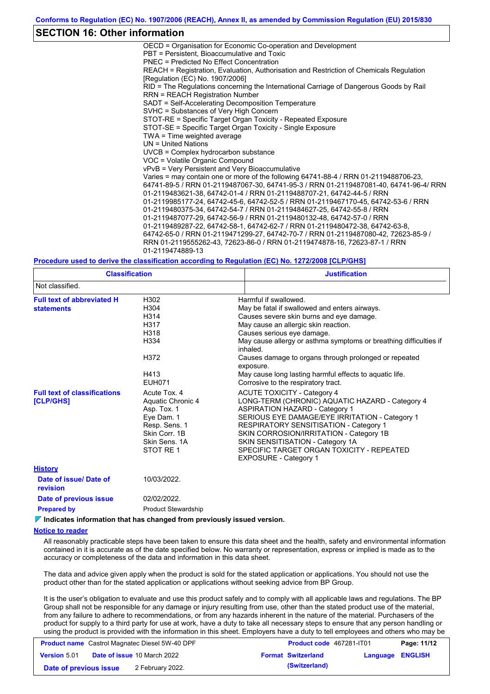### **SECTION 16: Other information**

OECD = Organisation for Economic Co-operation and Development PBT = Persistent, Bioaccumulative and Toxic PNEC = Predicted No Effect Concentration REACH = Registration, Evaluation, Authorisation and Restriction of Chemicals Regulation [Regulation (EC) No. 1907/2006] RID = The Regulations concerning the International Carriage of Dangerous Goods by Rail RRN = REACH Registration Number SADT = Self-Accelerating Decomposition Temperature SVHC = Substances of Very High Concern STOT-RE = Specific Target Organ Toxicity - Repeated Exposure STOT-SE = Specific Target Organ Toxicity - Single Exposure TWA = Time weighted average UN = United Nations UVCB = Complex hydrocarbon substance VOC = Volatile Organic Compound vPvB = Very Persistent and Very Bioaccumulative Varies = may contain one or more of the following 64741-88-4 / RRN 01-2119488706-23, 64741-89-5 / RRN 01-2119487067-30, 64741-95-3 / RRN 01-2119487081-40, 64741-96-4/ RRN 01-2119483621-38, 64742-01-4 / RRN 01-2119488707-21, 64742-44-5 / RRN 01-2119985177-24, 64742-45-6, 64742-52-5 / RRN 01-2119467170-45, 64742-53-6 / RRN 01-2119480375-34, 64742-54-7 / RRN 01-2119484627-25, 64742-55-8 / RRN 01-2119487077-29, 64742-56-9 / RRN 01-2119480132-48, 64742-57-0 / RRN 01-2119489287-22, 64742-58-1, 64742-62-7 / RRN 01-2119480472-38, 64742-63-8, 64742-65-0 / RRN 01-2119471299-27, 64742-70-7 / RRN 01-2119487080-42, 72623-85-9 / RRN 01-2119555262-43, 72623-86-0 / RRN 01-2119474878-16, 72623-87-1 / RRN 01-2119474889-13

#### **Procedure used to derive the classification according to Regulation (EC) No. 1272/2008 [CLP/GHS]**

| <b>Classification</b><br>Not classified.                                                                                         |                                                                                                                                | <b>Justification</b>                                                                                                                                                                                                                                                                                                                                                                                                                              |  |  |  |  |
|----------------------------------------------------------------------------------------------------------------------------------|--------------------------------------------------------------------------------------------------------------------------------|---------------------------------------------------------------------------------------------------------------------------------------------------------------------------------------------------------------------------------------------------------------------------------------------------------------------------------------------------------------------------------------------------------------------------------------------------|--|--|--|--|
|                                                                                                                                  |                                                                                                                                |                                                                                                                                                                                                                                                                                                                                                                                                                                                   |  |  |  |  |
| <b>Full text of abbreviated H</b><br>H302<br>H304<br><b>statements</b><br>H314<br>H317<br>H318<br>H334<br>H372<br>H413<br>EUH071 |                                                                                                                                | Harmful if swallowed.<br>May be fatal if swallowed and enters airways.<br>Causes severe skin burns and eye damage.<br>May cause an allergic skin reaction.<br>Causes serious eye damage.<br>May cause allergy or asthma symptoms or breathing difficulties if<br>inhaled.<br>Causes damage to organs through prolonged or repeated<br>exposure.<br>May cause long lasting harmful effects to aquatic life.<br>Corrosive to the respiratory tract. |  |  |  |  |
| <b>Full text of classifications</b><br>[CLP/GHS]                                                                                 | Acute Tox, 4<br>Aquatic Chronic 4<br>Asp. Tox. 1<br>Eye Dam. 1<br>Resp. Sens. 1<br>Skin Corr. 1B<br>Skin Sens, 1A<br>STOT RE 1 | <b>ACUTE TOXICITY - Category 4</b><br>LONG-TERM (CHRONIC) AQUATIC HAZARD - Category 4<br><b>ASPIRATION HAZARD - Category 1</b><br>SERIOUS EYE DAMAGE/EYE IRRITATION - Category 1<br><b>RESPIRATORY SENSITISATION - Category 1</b><br>SKIN CORROSION/IRRITATION - Category 1B<br>SKIN SENSITISATION - Category 1A<br>SPECIFIC TARGET ORGAN TOXICITY - REPEATED<br><b>EXPOSURE - Category 1</b>                                                     |  |  |  |  |
| <b>History</b>                                                                                                                   |                                                                                                                                |                                                                                                                                                                                                                                                                                                                                                                                                                                                   |  |  |  |  |
| Date of issue/Date of<br>revision                                                                                                | 10/03/2022.                                                                                                                    |                                                                                                                                                                                                                                                                                                                                                                                                                                                   |  |  |  |  |
| Date of previous issue                                                                                                           | 02/02/2022.                                                                                                                    |                                                                                                                                                                                                                                                                                                                                                                                                                                                   |  |  |  |  |
| <b>Prepared by</b>                                                                                                               | <b>Product Stewardship</b>                                                                                                     |                                                                                                                                                                                                                                                                                                                                                                                                                                                   |  |  |  |  |

**Indicates information that has changed from previously issued version.**

#### **Notice to reader**

All reasonably practicable steps have been taken to ensure this data sheet and the health, safety and environmental information contained in it is accurate as of the date specified below. No warranty or representation, express or implied is made as to the accuracy or completeness of the data and information in this data sheet.

The data and advice given apply when the product is sold for the stated application or applications. You should not use the product other than for the stated application or applications without seeking advice from BP Group.

It is the user's obligation to evaluate and use this product safely and to comply with all applicable laws and regulations. The BP Group shall not be responsible for any damage or injury resulting from use, other than the stated product use of the material, from any failure to adhere to recommendations, or from any hazards inherent in the nature of the material. Purchasers of the product for supply to a third party for use at work, have a duty to take all necessary steps to ensure that any person handling or using the product is provided with the information in this sheet. Employers have a duty to tell employees and others who may be

| <b>Product name</b> Castrol Magnatec Diesel 5W-40 DPF |  |                                    | <b>Product code</b> 467281-IT01 | Page: 11/12      |  |
|-------------------------------------------------------|--|------------------------------------|---------------------------------|------------------|--|
| <b>Version 5.01</b>                                   |  | <b>Date of issue 10 March 2022</b> | <b>Format Switzerland</b>       | Language ENGLISH |  |
| Date of previous issue                                |  | 2 February 2022.                   | (Switzerland)                   |                  |  |